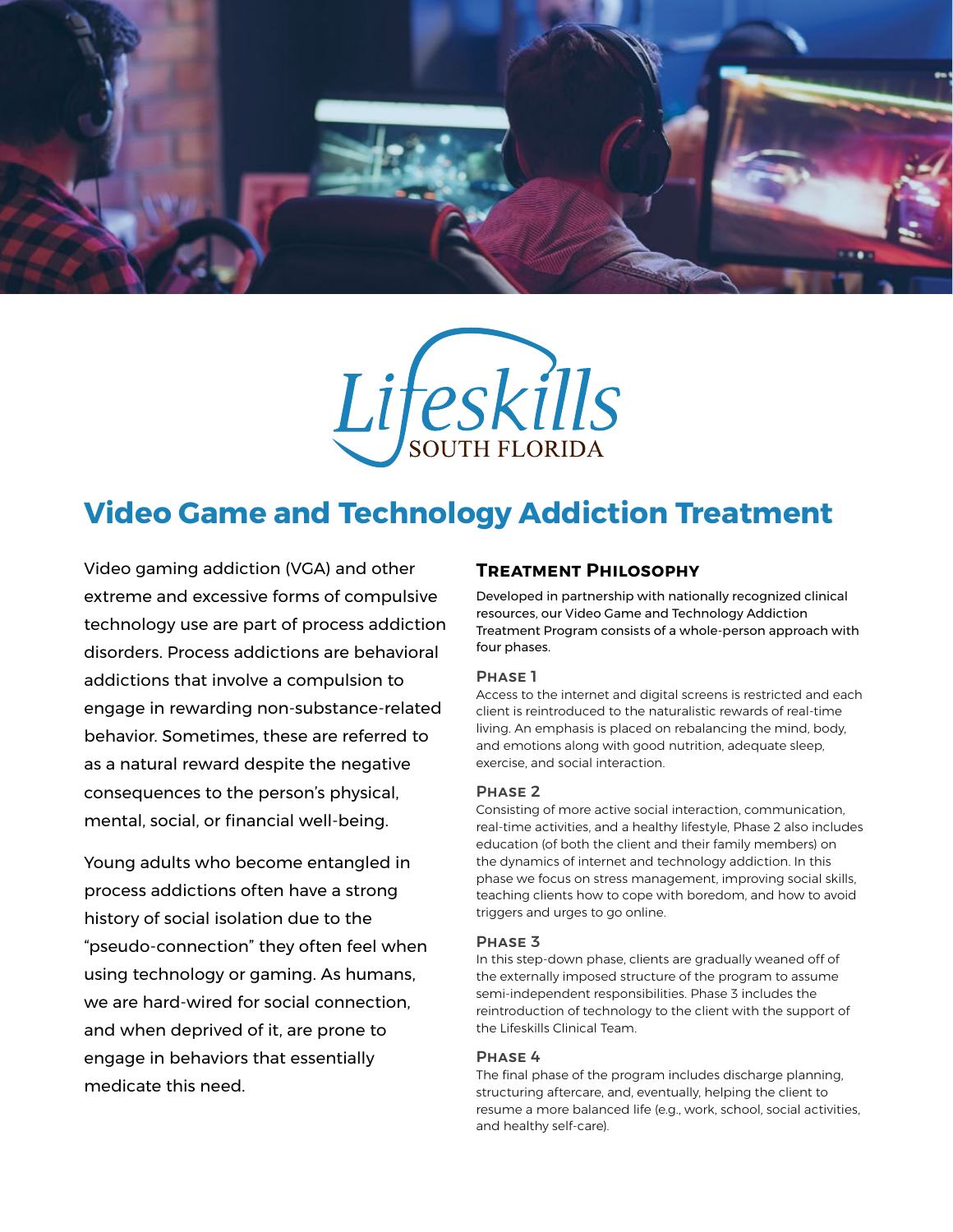



# **Video Game and Technology Addiction Treatment**

Video gaming addiction (VGA) and other extreme and excessive forms of compulsive technology use are part of process addiction disorders. Process addictions are behavioral addictions that involve a compulsion to engage in rewarding non-substance-related behavior. Sometimes, these are referred to as a natural reward despite the negative consequences to the person's physical, mental, social, or financial well-being.

Young adults who become entangled in process addictions often have a strong history of social isolation due to the "pseudo-connection" they often feel when using technology or gaming. As humans, we are hard-wired for social connection, and when deprived of it, are prone to engage in behaviors that essentially medicate this need.

## **Treatment Philosophy**

Developed in partnership with nationally recognized clinical resources, our Video Game and Technology Addiction Treatment Program consists of a whole-person approach with four phases.

#### Phase 1

Access to the internet and digital screens is restricted and each client is reintroduced to the naturalistic rewards of real-time living. An emphasis is placed on rebalancing the mind, body, and emotions along with good nutrition, adequate sleep, exercise, and social interaction.

#### Phase 2

Consisting of more active social interaction, communication, real-time activities, and a healthy lifestyle, Phase 2 also includes education (of both the client and their family members) on the dynamics of internet and technology addiction. In this phase we focus on stress management, improving social skills, teaching clients how to cope with boredom, and how to avoid triggers and urges to go online.

#### Phase 3

In this step-down phase, clients are gradually weaned off of the externally imposed structure of the program to assume semi-independent responsibilities. Phase 3 includes the reintroduction of technology to the client with the support of the Lifeskills Clinical Team.

### Phase 4

The final phase of the program includes discharge planning, structuring aftercare, and, eventually, helping the client to resume a more balanced life (e.g., work, school, social activities, and healthy self-care).